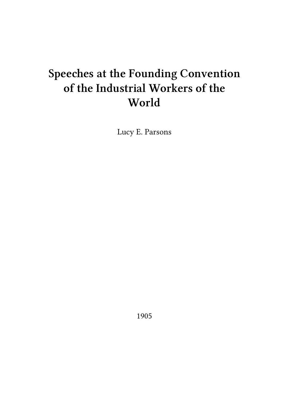## **Speeches at the Founding Convention of the Industrial Workers of the World**

Lucy E. Parsons

1905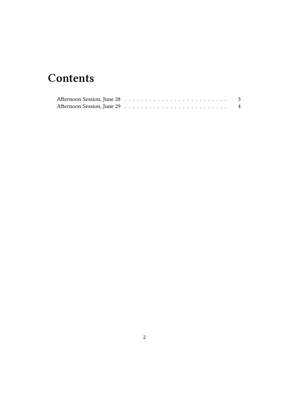## **Contents**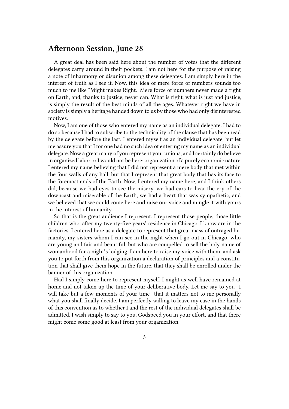## **Afternoon Session, June 28**

A great deal has been said here about the number of votes that the different delegates carry around in their pockets. I am not here for the purpose of raising a note of inharmony or disunion among these delegates. I am simply here in the interest of truth as I see it. Now, this idea of mere force of numbers sounds too much to me like "Might makes Right." Mere force of numbers never made a right on Earth, and, thanks to justice, never can. What is right, what is just and justice, is simply the result of the best minds of all the ages. Whatever right we have in society is simply a heritage handed down to us by those who had only disinterested motives.

Now, I am one of those who entered my name as an individual delegate. I had to do so because I had to subscribe to the technicality of the clause that has been read by the delegate before the last. I entered myself as an individual delegate, but let me assure you that I for one had no such idea of entering my name as an individual delegate. Now a great many of you represent your unions, and I certainly do believe in organized labor or I would not be here; organization of a purely economic nature. I entered my name believing that I did not represent a mere body that met within the four walls of any hall, but that I represent that great body that has its face to the foremost ends of the Earth. Now, I entered my name here, and I think others did, because we had eyes to see the misery, we had ears to hear the cry of the downcast and miserable of the Earth, we had a heart that was sympathetic, and we believed that we could come here and raise our voice and mingle it with yours in the interest of humanity.

So that is the great audience I represent. I represent those people, those little children who, after my twenty-five years' residence in Chicago, I know are in the factories. I entered here as a delegate to represent that great mass of outraged humanity, my sisters whom I can see in the night when I go out in Chicago, who are young and fair and beautiful, but who are compelled to sell the holy name of womanhood for a night's lodging. I am here to raise my voice with them, and ask you to put forth from this organization a declaration of principles and a constitution that shall give them hope in the future, that they shall be enrolled under the banner of this organization.

Had I simply come here to represent myself, I might as well have remained at home and not taken up the time of your deliberative body. Let me say to you—I will take but a few moments of your time—that it matters not to me personally what you shall finally decide. I am perfectly willing to leave my case in the hands of this convention as to whether I and the rest of the individual delegates shall be admitted. I wish simply to say to you, Godspeed you in your effort, and that there might come some good at least from your organization.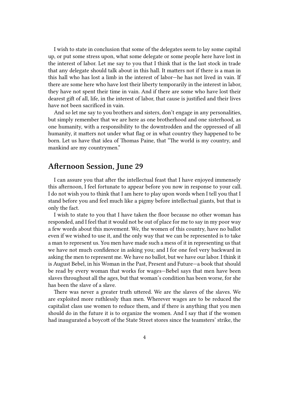I wish to state in conclusion that some of the delegates seem to lay some capital up, or put some stress upon, what some delegate or some people here have lost in the interest of labor. Let me say to you that I think that is the last stock in trade that any delegate should talk about in this hall. It matters not if there is a man in this hall who has lost a limb in the interest of labor—he has not lived in vain. If there are some here who have lost their liberty temporarily in the interest in labor, they have not spent their time in vain. And if there are some who have lost their dearest gift of all, life, in the interest of labor, that cause is justified and their lives have not been sacrificed in vain.

And so let me say to you brothers and sisters, don't engage in any personalities, but simply remember that we are here as one brotherhood and one sisterhood, as one humanity, with a responsibility to the downtrodden and the oppressed of all humanity, it matters not under what flag or in what country they happened to be born. Let us have that idea of Thomas Paine, that "The world is my country, and mankind are my countrymen."

## **Afternoon Session, June 29**

I can assure you that after the intellectual feast that I have enjoyed immensely this afternoon, I feel fortunate to appear before you now in response to your call. I do not wish you to think that I am here to play upon words when I tell you that I stand before you and feel much like a pigmy before intellectual giants, but that is only the fact.

I wish to state to you that I have taken the floor because no other woman has responded, and I feel that it would not be out of place for me to say in my poor way a few words about this movement. We, the women of this country, have no ballot even if we wished to use it, and the only way that we can be represented is to take a man to represent us. You men have made such a mess of it in representing us that we have not much confidence in asking you; and I for one feel very backward in asking the men to represent me. We have no ballot, but we have our labor. I think it is August Bebel, in his Woman in the Past, Present and Future—a book that should be read by every woman that works for wages—Bebel says that men have been slaves throughout all the ages, but that woman's condition has been worse, for she has been the slave of a slave.

There was never a greater truth uttered. We are the slaves of the slaves. We are exploited more ruthlessly than men. Wherever wages are to be reduced the capitalist class use women to reduce them, and if there is anything that you men should do in the future it is to organize the women. And I say that if the women had inaugurated a boycott of the State Street stores since the teamsters' strike, the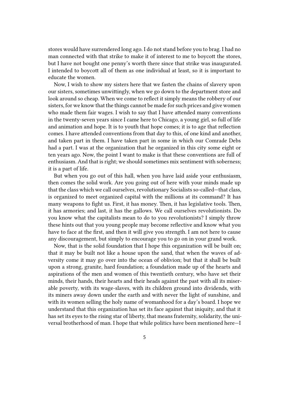stores would have surrendered long ago. I do not stand before you to brag. I had no man connected with that strike to make it of interest to me to boycott the stores, but I have not bought one penny's worth there since that strike was inaugurated. I intended to boycott all of them as one individual at least, so it is important to educate the women.

Now, I wish to show my sisters here that we fasten the chains of slavery upon our sisters, sometimes unwittingly, when we go down to the department store and look around so cheap. When we come to reflect it simply means the robbery of our sisters, for we know that the things cannot be made for such prices and give women who made them fair wages. I wish to say that I have attended many conventions in the twenty-seven years since I came here to Chicago, a young girl, so full of life and animation and hope. It is to youth that hope comes; it is to age that reflection comes. I have attended conventions from that day to this, of one kind and another, and taken part in them. I have taken part in some in which our Comrade Debs had a part. I was at the organization that he organized in this city some eight or ten years ago. Now, the point I want to make is that these conventions are full of enthusiasm. And that is right; we should sometimes mix sentiment with soberness; it is a part of life.

But when you go out of this hall, when you have laid aside your enthusiasm, then comes the solid work. Are you going out of here with your minds made up that the class which we call ourselves, revolutionary Socialists so-called—that class, is organized to meet organized capital with the millions at its command? It has many weapons to fight us. First, it has money. Then, it has legislative tools. Then, it has armories; and last, it has the gallows. We call ourselves revolutionists. Do you know what the capitalists mean to do to you revolutionists? I simply throw these hints out that you young people may become reflective and know what you have to face at the first, and then it will give you strength. I am not here to cause any discouragement, but simply to encourage you to go on in your grand work.

Now, that is the solid foundation that I hope this organization will be built on; that it may be built not like a house upon the sand, that when the waves of adversity come it may go over into the ocean of oblivion; but that it shall be built upon a strong, granite, hard foundation; a foundation made up of the hearts and aspirations of the men and women of this twentieth century, who have set their minds, their hands, their hearts and their heads against the past with all its miserable poverty, with its wage-slaves, with its children ground into dividends, with its miners away down under the earth and with never the light of sunshine, and with its women selling the holy name of womanhood for a day's board. I hope we understand that this organization has set its face against that iniquity, and that it has set its eyes to the rising star of liberty, that means fraternity, solidarity, the universal brotherhood of man. I hope that while politics have been mentioned here—I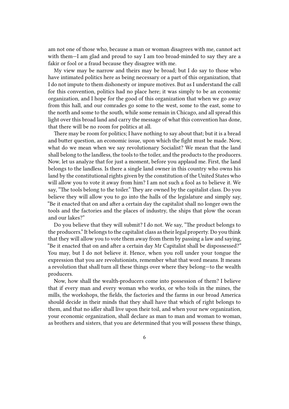am not one of those who, because a man or woman disagrees with me, cannot act with them—I am glad and proud to say I am too broad-minded to say they are a fakir or fool or a fraud because they disagree with me.

My view may be narrow and theirs may be broad; but I do say to those who have intimated politics here as being necessary or a part of this organization, that I do not impute to them dishonesty or impure motives. But as I understand the call for this convention, politics had no place here; it was simply to be an economic organization, and I hope for the good of this organization that when we go away from this hall, and our comrades go some to the west, some to the east, some to the north and some to the south, while some remain in Chicago, and all spread this light over this broad land and carry the message of what this convention has done, that there will be no room for politics at all.

There may be room for politics; I have nothing to say about that; but it is a bread and butter question, an economic issue, upon which the fight must be made. Now, what do we mean when we say revolutionary Socialist? We mean that the land shall belong to the landless, the tools to the toiler, and the products to the producers. Now, let us analyze that for just a moment, before you applaud me. First, the land belongs to the landless. Is there a single land owner in this country who owns his land by the constitutional rights given by the constitution of the United States who will allow you to vote it away from him? I am not such a fool as to believe it. We say, "The tools belong to the toiler." They are owned by the capitalist class. Do you believe they will allow you to go into the halls of the legislature and simply say, "Be it enacted that on and after a certain day the capitalist shall no longer own the tools and the factories and the places of industry, the ships that plow the ocean and our lakes?"

Do you believe that they will submit? I do not. We say, "The product belongs to the producers." It belongs to the capitalist class as their legal property. Do you think that they will allow you to vote them away from them by passing a law and saying, "Be it enacted that on and after a certain day Mr Capitalist shall be dispossessed?" You may, but I do not believe it. Hence, when you roll under your tongue the expression that you are revolutionists, remember what that word means. It means a revolution that shall turn all these things over where they belong—to the wealth producers.

Now, how shall the wealth-producers come into possession of them? I believe that if every man and every woman who works, or who toils in the mines, the mills, the workshops, the fields, the factories and the farms in our broad America should decide in their minds that they shall have that which of right belongs to them, and that no idler shall live upon their toil, and when your new organization, your economic organization, shall declare as man to man and woman to woman, as brothers and sisters, that you are determined that you will possess these things,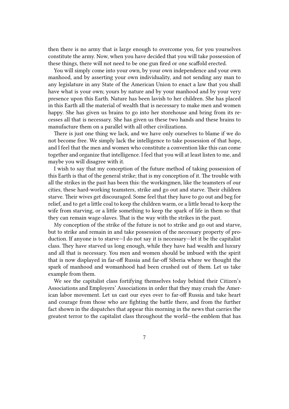then there is no army that is large enough to overcome you, for you yourselves constitute the army. Now, when you have decided that you will take possession of these things, there will not need to be one gun fired or one scaffold erected.

You will simply come into your own, by your own independence and your own manhood, and by asserting your own individuality, and not sending any man to any legislature in any State of the American Union to enact a law that you shall have what is your own; yours by nature and by your manhood and by your very presence upon this Earth. Nature has been lavish to her children. She has placed in this Earth all the material of wealth that is necessary to make men and women happy. She has given us brains to go into her storehouse and bring from its recesses all that is necessary. She has given us these two hands and these brains to manufacture them on a parallel with all other civilizations.

There is just one thing we lack, and we have only ourselves to blame if we do not become free. We simply lack the intelligence to take possession of that hope, and I feel that the men and women who constitute a convention like this can come together and organize that intelligence. I feel that you will at least listen to me, and maybe you will disagree with it.

I wish to say that my conception of the future method of taking possession of this Earth is that of the general strike; that is my conception of it. The trouble with all the strikes in the past has been this: the workingmen, like the teamsters of our cities, these hard-working teamsters, strike and go out and starve. Their children starve. Their wives get discouraged. Some feel that they have to go out and beg for relief, and to get a little coal to keep the children warm, or a little bread to keep the wife from starving, or a little something to keep the spark of life in them so that they can remain wage-slaves. That is the way with the strikes in the past.

My conception of the strike of the future is not to strike and go out and starve, but to strike and remain in and take possession of the necessary property of production. If anyone is to starve—I do not say it is necessary—let it be the capitalist class. They have starved us long enough, while they have had wealth and luxury and all that is necessary. You men and women should be imbued with the spirit that is now displayed in far-off Russia and far-off Siberia where we thought the spark of manhood and womanhood had been crushed out of them. Let us take example from them.

We see the capitalist class fortifying themselves today behind their Citizen's Associations and Employers' Associations in order that they may crush the American labor movement. Let us cast our eyes over to far-off Russia and take heart and courage from those who are fighting the battle there, and from the further fact shown in the dispatches that appear this morning in the news that carries the greatest terror to the capitalist class throughout the world—the emblem that has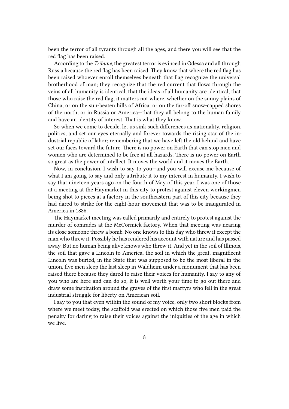been the terror of all tyrants through all the ages, and there you will see that the red flag has been raised.

According to the *Tribune*, the greatest terror is evinced in Odessa and all through Russia because the red flag has been raised. They know that where the red flag has been raised whoever enroll themselves beneath that flag recognize the universal brotherhood of man; they recognize that the red current that flows through the veins of all humanity is identical, that the ideas of all humanity are identical; that those who raise the red flag, it matters not where, whether on the sunny plains of China, or on the sun-beaten hills of Africa, or on the far-off snow-capped shores of the north, or in Russia or America—that they all belong to the human family and have an identity of interest. That is what they know.

So when we come to decide, let us sink such differences as nationality, religion, politics, and set our eyes eternally and forever towards the rising star of the industrial republic of labor; remembering that we have left the old behind and have set our faces toward the future. There is no power on Earth that can stop men and women who are determined to be free at all hazards. There is no power on Earth so great as the power of intellect. It moves the world and it moves the Earth.

Now, in conclusion, I wish to say to you—and you will excuse me because of what I am going to say and only attribute it to my interest in humanity. I wish to say that nineteen years ago on the fourth of May of this year, I was one of those at a meeting at the Haymarket in this city to protest against eleven workingmen being shot to pieces at a factory in the southeastern part of this city because they had dared to strike for the eight-hour movement that was to be inaugurated in America in 1886.

The Haymarket meeting was called primarily and entirely to protest against the murder of comrades at the McCormick factory. When that meeting was nearing its close someone threw a bomb. No one knows to this day who threw it except the man who threw it. Possibly he has rendered his account with nature and has passed away. But no human being alive knows who threw it. And yet in the soil of Illinois, the soil that gave a Lincoln to America, the soil in which the great, magnificent Lincoln was buried, in the State that was supposed to be the most liberal in the union, five men sleep the last sleep in Waldheim under a monument that has been raised there because they dared to raise their voices for humanity. I say to any of you who are here and can do so, it is well worth your time to go out there and draw some inspiration around the graves of the first martyrs who fell in the great industrial struggle for liberty on American soil.

I say to you that even within the sound of my voice, only two short blocks from where we meet today, the scaffold was erected on which those five men paid the penalty for daring to raise their voices against the iniquities of the age in which we live.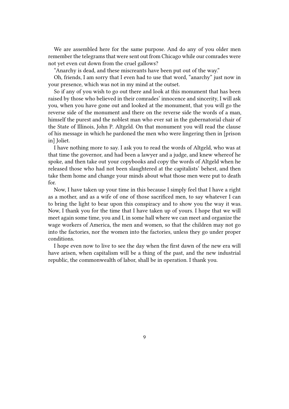We are assembled here for the same purpose. And do any of you older men remember the telegrams that were sent out from Chicago while our comrades were not yet even cut down from the cruel gallows?

"Anarchy is dead, and these miscreants have been put out of the way."

Oh, friends, I am sorry that I even had to use that word, "anarchy" just now in your presence, which was not in my mind at the outset.

So if any of you wish to go out there and look at this monument that has been raised by those who believed in their comrades' innocence and sincerity, I will ask you, when you have gone out and looked at the monument, that you will go the reverse side of the monument and there on the reverse side the words of a man, himself the purest and the noblest man who ever sat in the gubernatorial chair of the State of Illinois, John P. Altgeld. On that monument you will read the clause of his message in which he pardoned the men who were lingering then in [prison in] Joliet.

I have nothing more to say. I ask you to read the words of Altgeld, who was at that time the governor, and had been a lawyer and a judge, and knew whereof he spoke, and then take out your copybooks and copy the words of Altgeld when he released those who had not been slaughtered at the capitalists' behest, and then take them home and change your minds about what those men were put to death for.

Now, I have taken up your time in this because I simply feel that I have a right as a mother, and as a wife of one of those sacrificed men, to say whatever I can to bring the light to bear upon this conspiracy and to show you the way it was. Now, I thank you for the time that I have taken up of yours. I hope that we will meet again some time, you and I, in some hall where we can meet and organize the wage workers of America, the men and women, so that the children may not go into the factories, nor the women into the factories, unless they go under proper conditions.

I hope even now to live to see the day when the first dawn of the new era will have arisen, when capitalism will be a thing of the past, and the new industrial republic, the commonwealth of labor, shall be in operation. I thank you.